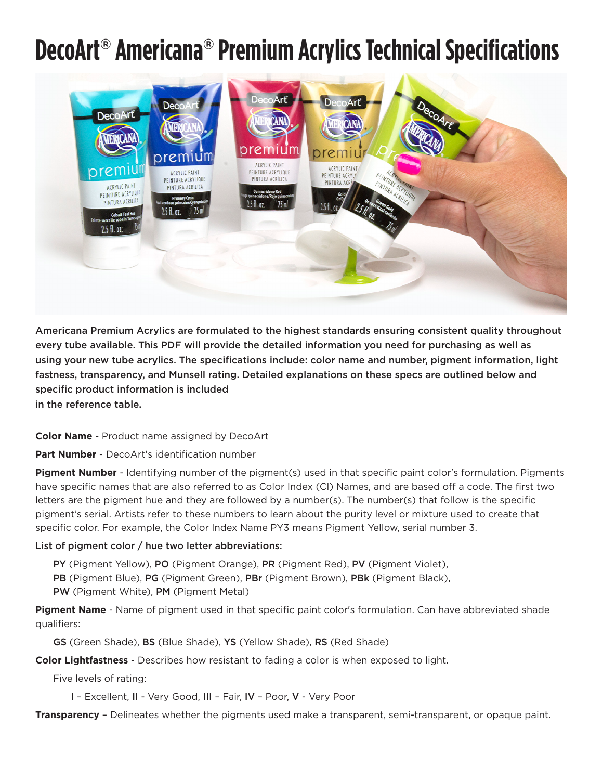## **DecoArt**® **Americana**® **Premium Acrylics Technical Specifications**



Americana Premium Acrylics are formulated to the highest standards ensuring consistent quality throughout every tube available. This PDF will provide the detailed information you need for purchasing as well as using your new tube acrylics. The specifications include: color name and number, pigment information, light fastness, transparency, and Munsell rating. Detailed explanations on these specs are outlined below and specific product information is included

in the reference table.

## **Color Name** - Product name assigned by DecoArt

**Part Number** - DecoArt's identification number

**Pigment Number** - Identifying number of the pigment(s) used in that specific paint color's formulation. Pigments have specific names that are also referred to as Color Index (CI) Names, and are based off a code. The first two letters are the pigment hue and they are followed by a number(s). The number(s) that follow is the specific pigment's serial. Artists refer to these numbers to learn about the purity level or mixture used to create that specific color. For example, the Color Index Name PY3 means Pigment Yellow, serial number 3.

## List of pigment color / hue two letter abbreviations:

- PY (Pigment Yellow), PO (Pigment Orange), PR (Pigment Red), PV (Pigment Violet),
- PB (Pigment Blue), PG (Pigment Green), PBr (Pigment Brown), PBk (Pigment Black),
- PW (Pigment White), PM (Pigment Metal)

**Pigment Name** - Name of pigment used in that specific paint color's formulation. Can have abbreviated shade qualifiers:

GS (Green Shade), BS (Blue Shade), YS (Yellow Shade), RS (Red Shade)

**Color Lightfastness** - Describes how resistant to fading a color is when exposed to light.

Five levels of rating:

I – Excellent, II - Very Good, III – Fair, IV – Poor, V - Very Poor

**Transparency** – Delineates whether the pigments used make a transparent, semi-transparent, or opaque paint.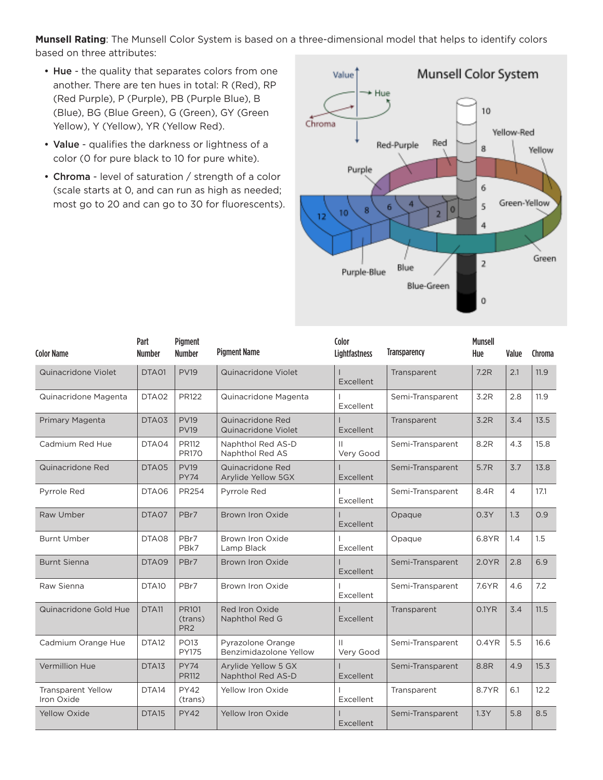**Munsell Rating**: The Munsell Color System is based on a three-dimensional model that helps to identify colors based on three attributes:

- Hue the quality that separates colors from one another. There are ten hues in total: R (Red), RP (Red Purple), P (Purple), PB (Purple Blue), B (Blue), BG (Blue Green), G (Green), GY (Green Yellow), Y (Yellow), YR (Yellow Red).
- Value qualifies the darkness or lightness of a color (0 for pure black to 10 for pure white).
- Chroma level of saturation / strength of a color (scale starts at 0, and can run as high as needed; most go to 20 and can go to 30 for fluorescents).



| <b>Color Name</b>                       | Part<br><b>Number</b> | <b>Pigment</b><br><b>Number</b>     | <b>Pigment Name</b>                         | Color<br>Lightfastness    | <b>Transparency</b> | <b>Munsell</b><br>Hue | Value          | Chroma |
|-----------------------------------------|-----------------------|-------------------------------------|---------------------------------------------|---------------------------|---------------------|-----------------------|----------------|--------|
| Quinacridone Violet                     | DTA01                 | <b>PV19</b>                         | Quinacridone Violet                         | Excellent                 | Transparent         | 7.2R                  | 2.1            | 11.9   |
| Quinacridone Magenta                    | DTA02                 | PR122                               | Quinacridone Magenta                        | Excellent                 | Semi-Transparent    | 3.2R                  | 2.8            | 11.9   |
| <b>Primary Magenta</b>                  | DTA03                 | <b>PV19</b><br><b>PV19</b>          | Quinacridone Red<br>Quinacridone Violet     | Excellent                 | Transparent         | 3.2R                  | 3.4            | 13.5   |
| Cadmium Red Hue                         | DTA04                 | PR112<br><b>PR170</b>               | Naphthol Red AS-D<br>Naphthol Red AS        | $\mathbf{H}$<br>Very Good | Semi-Transparent    | 8.2R                  | 4.3            | 15.8   |
| Quinacridone Red                        | DTA05                 | <b>PV19</b><br><b>PY74</b>          | Quinacridone Red<br>Arylide Yellow 5GX      | Excellent                 | Semi-Transparent    | 5.7R                  | 3.7            | 13.8   |
| Pyrrole Red                             | DTA06                 | <b>PR254</b>                        | Pyrrole Red                                 | Excellent                 | Semi-Transparent    | 8.4R                  | $\overline{4}$ | 17.1   |
| Raw Umber                               | DTA07                 | PBr7                                | Brown Iron Oxide                            | Excellent                 | Opaque              | 0.3Y                  | 1.3            | 0.9    |
| <b>Burnt Umber</b>                      | DTA08                 | PBr7<br>PBk7                        | Brown Iron Oxide<br>Lamp Black              | Excellent                 | Opaque              | 6.8YR                 | 1.4            | 1.5    |
| <b>Burnt Sienna</b>                     | DTA09                 | PBr7                                | Brown Iron Oxide                            | Excellent                 | Semi-Transparent    | 2.0YR                 | 2.8            | 6.9    |
| Raw Sienna                              | DTA <sub>10</sub>     | PBr7                                | Brown Iron Oxide                            | Excellent                 | Semi-Transparent    | 7.6YR                 | 4.6            | 7.2    |
| Quinacridone Gold Hue                   | DTA11                 | PR101<br>(trans)<br>PR <sub>2</sub> | Red Iron Oxide<br>Naphthol Red G            | Excellent                 | Transparent         | 0.1YR                 | 3.4            | 11.5   |
| Cadmium Orange Hue                      | DTA <sub>12</sub>     | <b>PO13</b><br><b>PY175</b>         | Pyrazolone Orange<br>Benzimidazolone Yellow | $\mathbf{H}$<br>Very Good | Semi-Transparent    | 0.4YR                 | 5.5            | 16.6   |
| Vermillion Hue                          | DTA <sub>13</sub>     | <b>PY74</b><br><b>PR112</b>         | Arvlide Yellow 5 GX<br>Naphthol Red AS-D    | Excellent                 | Semi-Transparent    | 8.8R                  | 4.9            | 15.3   |
| <b>Transparent Yellow</b><br>Iron Oxide | DTA <sub>14</sub>     | <b>PY42</b><br>(trans)              | Yellow Iron Oxide                           | Excellent                 | Transparent         | 8.7YR                 | 6.1            | 12.2   |
| <b>Yellow Oxide</b>                     | DTA <sub>15</sub>     | <b>PY42</b>                         | Yellow Iron Oxide                           | Excellent                 | Semi-Transparent    | 1.3Y                  | 5.8            | 8.5    |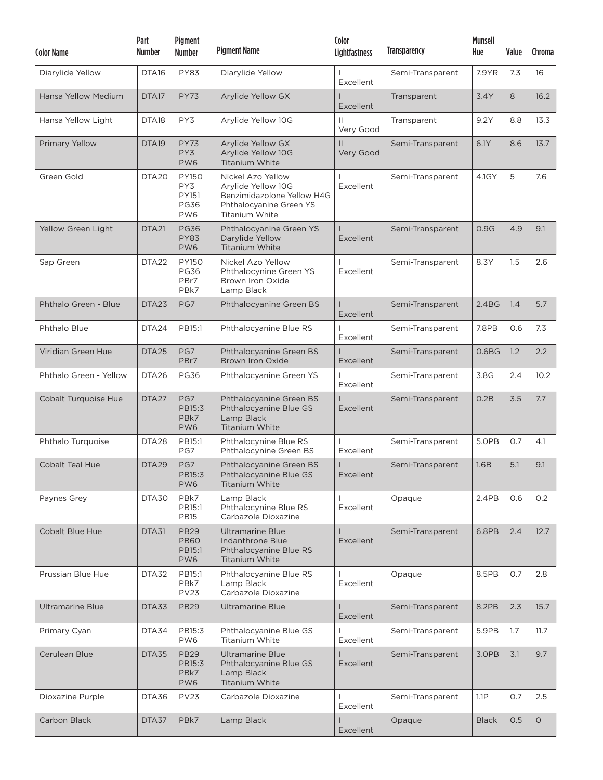| <b>Color Name</b>       | Part<br><b>Number</b> | Pigment<br><b>Number</b>                                       | <b>Pigment Name</b>                                                                                                | Color<br><b>Lightfastness</b> | <b>Transparency</b> | <b>Munsell</b><br>Hue | Value | Chroma  |
|-------------------------|-----------------------|----------------------------------------------------------------|--------------------------------------------------------------------------------------------------------------------|-------------------------------|---------------------|-----------------------|-------|---------|
| Diarylide Yellow        | DTA <sub>16</sub>     | <b>PY83</b>                                                    | Diarylide Yellow                                                                                                   | Excellent                     | Semi-Transparent    | 7.9YR                 | 7.3   | 16      |
| Hansa Yellow Medium     | DTA17                 | <b>PY73</b>                                                    | Arylide Yellow GX                                                                                                  | Excellent                     | Transparent         | 3.4Y                  | 8     | 16.2    |
| Hansa Yellow Light      | DTA <sub>18</sub>     | PY3                                                            | Arylide Yellow 10G                                                                                                 | Ш<br>Very Good                | Transparent         | 9.2Y                  | 8.8   | 13.3    |
| <b>Primary Yellow</b>   | DTA <sub>19</sub>     | <b>PY73</b><br>PY3<br>PW6                                      | Arylide Yellow GX<br>Arylide Yellow 10G<br><b>Titanium White</b>                                                   | $\mathbf{H}$<br>Very Good     | Semi-Transparent    | 6.1Y                  | 8.6   | 13.7    |
| Green Gold              | DTA <sub>20</sub>     | <b>PY150</b><br>PY3<br>PY151<br><b>PG36</b><br>PW <sub>6</sub> | Nickel Azo Yellow<br>Arylide Yellow 10G<br>Benzimidazolone Yellow H4G<br>Phthalocyanine Green YS<br>Titanium White | Excellent                     | Semi-Transparent    | 4.1GY                 | 5     | 7.6     |
| Yellow Green Light      | DTA <sub>21</sub>     | <b>PG36</b><br><b>PY83</b><br>PW <sub>6</sub>                  | Phthalocyanine Green YS<br>Darylide Yellow<br><b>Titanium White</b>                                                | Excellent                     | Semi-Transparent    | 0.9G                  | 4.9   | 9.1     |
| Sap Green               | DTA <sub>22</sub>     | <b>PY150</b><br><b>PG36</b><br>PBr7<br>PBk7                    | Nickel Azo Yellow<br>Phthalocynine Green YS<br>Brown Iron Oxide<br>Lamp Black                                      | Excellent                     | Semi-Transparent    | 8.3Y                  | 1.5   | 2.6     |
| Phthalo Green - Blue    | DTA23                 | PG7                                                            | Phthalocyanine Green BS                                                                                            | <b>Excellent</b>              | Semi-Transparent    | 2.4 <sub>BG</sub>     | 1.4   | 5.7     |
| Phthalo Blue            | DTA <sub>24</sub>     | PB15:1                                                         | Phthalocyanine Blue RS                                                                                             | Excellent                     | Semi-Transparent    | 7.8PB                 | 0.6   | 7.3     |
| Viridian Green Hue      | DTA25                 | PG7<br>PBr7                                                    | Phthalocyanine Green BS<br><b>Brown Iron Oxide</b>                                                                 | Excellent                     | Semi-Transparent    | 0.6 <sub>B</sub> G    | 1.2   | 2.2     |
| Phthalo Green - Yellow  | DTA <sub>26</sub>     | <b>PG36</b>                                                    | Phthalocyanine Green YS                                                                                            | Excellent                     | Semi-Transparent    | 3.8G                  | 2.4   | 10.2    |
| Cobalt Turquoise Hue    | DTA <sub>27</sub>     | PG7<br>PB15:3<br>PBk7<br>PW <sub>6</sub>                       | Phthalocyanine Green BS<br>Phthalocyanine Blue GS<br>Lamp Black<br><b>Titanium White</b>                           | <b>Excellent</b>              | Semi-Transparent    | 0.2B                  | 3.5   | 7.7     |
| Phthalo Turquoise       | DTA <sub>28</sub>     | PB15:1<br>PG7                                                  | Phthalocynine Blue RS<br>Phthalocynine Green BS                                                                    | Excellent                     | Semi-Transparent    | 5.0PB                 | 0.7   | 4.1     |
| <b>Cobalt Teal Hue</b>  | DTA29                 | PG7<br>PB15:3<br>PW <sub>6</sub>                               | Phthalocyanine Green BS<br>Phthalocyanine Blue GS<br><b>Titanium White</b>                                         | Excellent                     | Semi-Transparent    | 1.6B                  | 5.1   | 9.1     |
| Paynes Grey             | DTA30                 | PBk7<br>PB15:1<br><b>PB15</b>                                  | Lamp Black<br>Phthalocynine Blue RS<br>Carbazole Dioxazine                                                         | Excellent                     | Opaque              | 2.4PB                 | 0.6   | 0.2     |
| <b>Cobalt Blue Hue</b>  | DTA31                 | <b>PB29</b><br><b>PB60</b><br>PB15:1<br>PW6                    | <b>Ultramarine Blue</b><br><b>Indanthrone Blue</b><br>Phthalocyanine Blue RS<br>Titanium White                     | Excellent                     | Semi-Transparent    | 6.8PB                 | 2.4   | 12.7    |
| Prussian Blue Hue       | DTA32                 | PB15:1<br>PBk7<br><b>PV23</b>                                  | Phthalocyanine Blue RS<br>Lamp Black<br>Carbazole Dioxazine                                                        | Excellent                     | Opaque              | 8.5PB                 | 0.7   | 2.8     |
| <b>Ultramarine Blue</b> | DTA33                 | <b>PB29</b>                                                    | <b>Ultramarine Blue</b>                                                                                            | Excellent                     | Semi-Transparent    | 8.2PB                 | 2.3   | 15.7    |
| Primary Cyan            | DTA34                 | PB15:3<br>PW <sub>6</sub>                                      | Phthalocyanine Blue GS<br>Titanium White                                                                           | Excellent                     | Semi-Transparent    | 5.9PB                 | 1.7   | 11.7    |
| Cerulean Blue           | DTA35                 | <b>PB29</b><br>PB15:3<br>PBk7<br>PW6                           | <b>Ultramarine Blue</b><br>Phthalocyanine Blue GS<br>Lamp Black<br><b>Titanium White</b>                           | <b>Excellent</b>              | Semi-Transparent    | 3.0PB                 | 3.1   | 9.7     |
| Dioxazine Purple        | DTA36                 | <b>PV23</b>                                                    | Carbazole Dioxazine                                                                                                | Excellent                     | Semi-Transparent    | 1.1P                  | 0.7   | 2.5     |
| Carbon Black            | DTA37                 | PBk7                                                           | Lamp Black                                                                                                         | Excellent                     | Opaque              | <b>Black</b>          | 0.5   | $\circ$ |